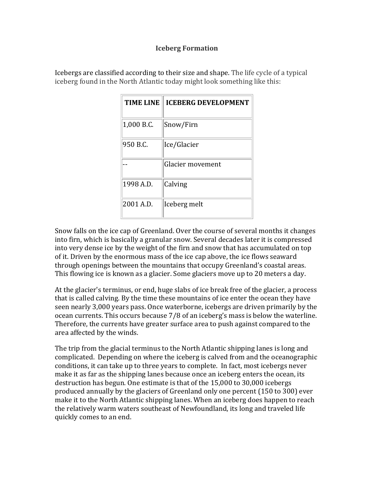### **Iceberg Formation**

| <b>TIME LINE</b> | <b>ICEBERG DEVELOPMENT</b> |
|------------------|----------------------------|
| 1,000 B.C.       | Snow/Firn                  |
| 950 B.C.         | Ice/Glacier                |
|                  | Glacier movement           |
| 1998 A.D.        | Calving                    |
| 2001 A.D.        | Iceberg melt               |

I cebergs are classified according to their size and shape. The life cycle of a typical i ceberg found in the North Atlantic today might look something like this:

Snow falls on the ice cap of Greenland. Over the course of several months it changes into firn, which is basically a granular snow. Several decades later it is compressed into very dense ice by the weight of the firn and snow that has accumulated on top of it. Driven by the enormous mass of the ice cap above, the ice flows seaward through openings between the mountains that occupy Greenland's coastal areas. This flowing ice is known as a glacier. Some glaciers move up to 20 meters a day.

At the glacier's terminus, or end, huge slabs of ice break free of the glacier, a process that is called calving. By the time these mountains of ice enter the ocean they have seen nearly 3,000 years pass. Once waterborne, icebergs are driven primarily by the ocean currents. This occurs because 7/8 of an iceberg's mass is below the waterline. Therefore, the currents have greater surface area to push against compared to the area affected by the winds.

The trip from the glacial terminus to the North Atlantic shipping lanes is long and complicated. Depending on where the iceberg is calved from and the oceanographic conditions, it can take up to three years to complete. In fact, most icebergs never make it as far as the shipping lanes because once an iceberg enters the ocean, its destruction has begun. One estimate is that of the 15,000 to 30,000 icebergs produced annually by the glaciers of Greenland only one percent (150 to 300) ever make it to the North Atlantic shipping lanes. When an iceberg does happen to reach the relatively warm waters southeast of Newfoundland, its long and traveled life quickly comes to an end.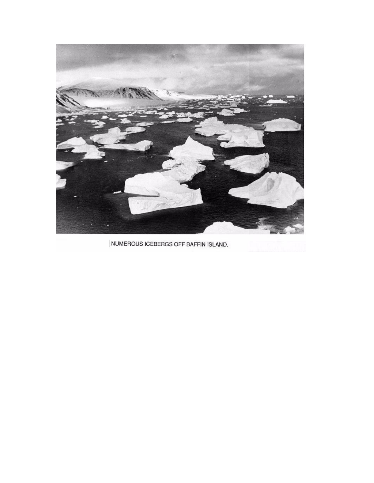

NUMEROUS ICEBERGS OFF BAFFIN ISLAND.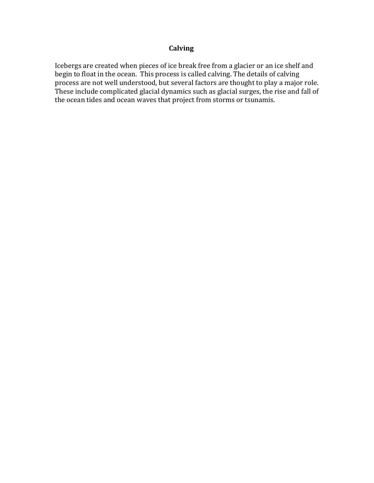# **Calving**

Icebergs are created when pieces of ice break free from a glacier or an ice shelf and begin to float in the ocean. This process is called calving. The details of calving process are not well understood, but several factors are thought to play a major role. These include complicated glacial dynamics such as glacial surges, the rise and fall of the ocean tides and ocean waves that project from storms or tsunamis.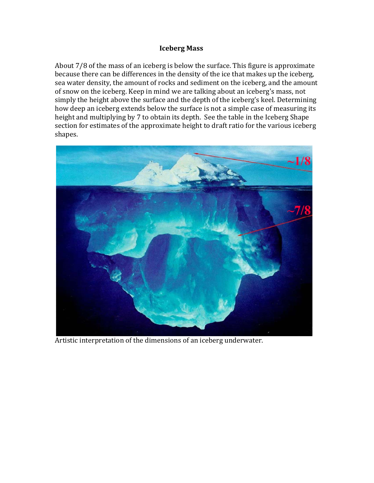#### **Iceberg Mass**

About 7/8 of the mass of an iceberg is below the surface. This figure is approximate because there can be differences in the density of the ice that makes up the iceberg, sea water density, the amount of rocks and sediment on the iceberg, and the amount of snow on the iceberg. Keep in mind we are talking about an iceberg's mass, not simply the height above the surface and the depth of the iceberg's keel. Determining how deep an iceberg extends below the surface is not a simple case of measuring its height and multiplying by 7 to obtain its depth. See the table in the Iceberg Shape section for estimates of the approximate height to draft ratio for the various iceberg shapes.



Artistic interpretation of the dimensions of an iceberg un derwater.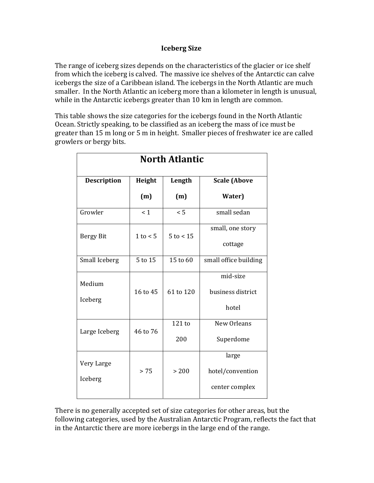### **Iceberg Size**

The range of iceberg sizes depends on the characteristics of the glacier or ice shelf from which the iceberg is calved. The massive ice shelves of the Antarctic can calve icebergs the size of a Caribbean island. The icebergs in the North Atlantic are much smaller. In the North Atlantic an iceberg more than a kilometer in length is unusual, while in the Antarctic icebergs greater than 10 km in length are common.

This table shows the size categories for the icebergs found in the North Atlantic Ocean. Strictly speaking, to be classified as an iceberg the mass of ice must be greater than 15 m long or 5 m in height. Smaller pieces of freshwater ice are called growlers or bergy bits.

| <b>North Atlantic</b> |          |               |                                             |  |  |
|-----------------------|----------|---------------|---------------------------------------------|--|--|
| <b>Description</b>    | Height   | Length        | <b>Scale (Above</b>                         |  |  |
|                       | (m)      | (m)           | Water)                                      |  |  |
| Growler               | < 1      | < 5           | small sedan                                 |  |  |
| <b>Bergy Bit</b>      | 1 to < 5 | $5$ to $<$ 15 | small, one story<br>cottage                 |  |  |
| Small Iceberg         | 5 to 15  | 15 to 60      | small office building                       |  |  |
| Medium<br>Iceberg     | 16 to 45 | 61 to 120     | mid-size<br>business district<br>hotel      |  |  |
| Large Iceberg         | 46 to 76 | 121 to<br>200 | New Orleans<br>Superdome                    |  |  |
| Very Large<br>Iceberg | > 75     | > 200         | large<br>hotel/convention<br>center complex |  |  |

There is no generally accepted set of size categories for other areas, but the following categories, used by the Australian Antarctic Program, reflects the fact that in the Antarctic there are more icebergs in the large end of the range.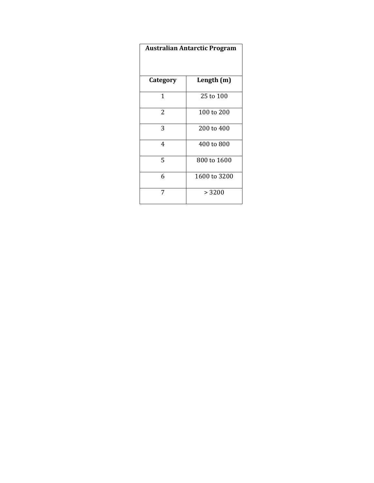| <b>Australian Antarctic Program</b> |              |  |
|-------------------------------------|--------------|--|
| Category                            | Length (m)   |  |
| 1                                   | 25 to 100    |  |
| 2                                   | 100 to 200   |  |
| 3                                   | 200 to 400   |  |
| 4                                   | 400 to 800   |  |
| 5                                   | 800 to 1600  |  |
| 6                                   | 1600 to 3200 |  |
| 7                                   | > 3200       |  |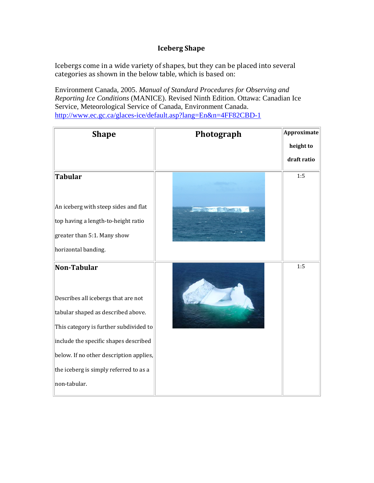# **Iceberg Shape**

Icebergs come in a wide variety of shapes, but they can be placed into several categories as shown in the below table, which is based on:

Environment Canada, 2005. *Manual of Standard Procedures for Observing and Reporting Ice Conditions* (MANICE). Revised Ninth Edition. Ottawa: Canadian Ice Service, Meteorological Service of Canada, Environment Canada. <http://www.ec.gc.ca/glaces-ice/default.asp?lang=En&n=4FF82CBD-1>

| <b>Shape</b>                                                                                                                                                                                                                                                                     | Photograph | Approximate |
|----------------------------------------------------------------------------------------------------------------------------------------------------------------------------------------------------------------------------------------------------------------------------------|------------|-------------|
|                                                                                                                                                                                                                                                                                  |            | height to   |
|                                                                                                                                                                                                                                                                                  |            | draft ratio |
| <b>Tabular</b><br>An iceberg with steep sides and flat                                                                                                                                                                                                                           |            | 1:5         |
| top having a length-to-height ratio<br>greater than 5:1. Many show<br>horizontal banding.                                                                                                                                                                                        |            |             |
| Non-Tabular<br>Describes all icebergs that are not<br>tabular shaped as described above.<br>This category is further subdivided to<br>include the specific shapes described<br>below. If no other description applies,<br>the iceberg is simply referred to as a<br>non-tabular. |            | 1:5         |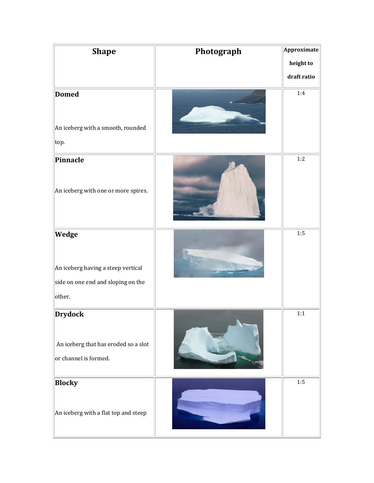| <b>Shape</b>                                                                                | Photograph | Approximate |
|---------------------------------------------------------------------------------------------|------------|-------------|
|                                                                                             |            | height to   |
|                                                                                             |            | draft ratio |
| <b>Domed</b><br>An iceberg with a smooth, rounded<br>top.                                   |            | 1:4         |
| Pinnacle<br>An iceberg with one or more spires.                                             |            | 1:2         |
| Wedge<br>An iceberg having a steep vertical<br>side on one end and sloping on the<br>other. |            | 1:5         |
| <b>Drydock</b><br>An iceberg that has eroded so a slot<br>or channel is formed.             |            | 1:1         |
| <b>Blocky</b><br>An iceberg with a flat top and steep                                       |            | 1:5         |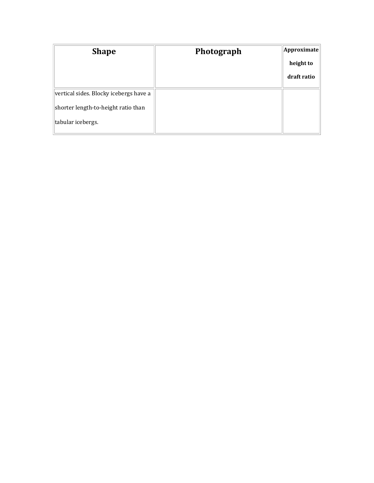| <b>Shape</b>                           | Photograph | Approximate |
|----------------------------------------|------------|-------------|
|                                        |            | height to   |
|                                        |            | draft ratio |
| vertical sides. Blocky icebergs have a |            |             |
| shorter length-to-height ratio than    |            |             |
| tabular icebergs.                      |            |             |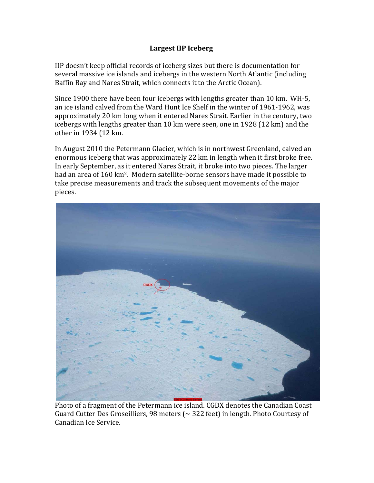### **Largest IIP Iceberg**

IIP doesn't keep official records of iceberg sizes but there is documentation for several massive ice islands and icebergs in the western North Atlantic (including Baffin Bay and Nares Strait, which connects it to the Arctic Ocean).

Since 1900 there have been four icebergs with lengths greater than 10 km. WH‐5, an ice island calved from the Ward Hunt Ice Shelf in the winter of 1961‐1962, was approximately 20 km long when it entered Nares Strait. Earlier in the century, two icebergs with lengths greater than 10 km were seen, one in 1928 (12 km) and the other in 1934 (12 km.

In August 2010 the Petermann Glacier, which is in northwest Greenland, calved an enormous iceberg that was approximately 22 km in length when it first broke free. In early September, as it entered Nares Strait, it broke into two pieces. The larger had an area of 160 km<sup>2</sup>. Modern satellite-borne sensors have made it possible to take precise measurements and track the subsequent movements of the major pieces.



Photo of a fragment of the Petermann ice island. CGDX denotes the Canadian Coast Guard Cutter Des Groseilliers, 98 meters ( $\sim$  322 feet) in length. Photo Courtesy of Canadian Ice Service.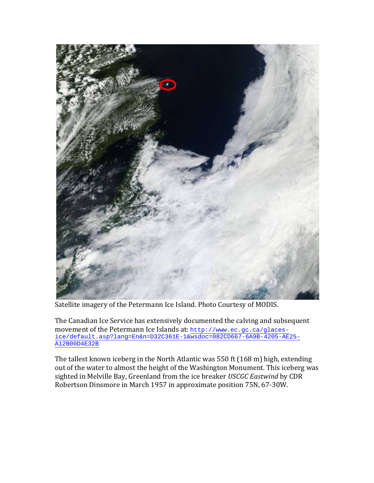

Satellite imagery of the Petermann Ice Island. Photo Courtesy of MODIS.

The Canadian Ice Service has extensively documented the calving and subsequent movement of the Petermann Ice Islands at: [http://www.ec.gc.ca/glaces](http://www.ec.gc.ca/glaces-ice/default.asp?lang=En&n=D32C361E-1&wsdoc=082CD667-6A9B-4205-AE25-A12B00D4E32B)[ice/default.asp?lang=En&n=D32C361E-1&wsdoc=082CD667-6A9B-4205-AE25-](http://www.ec.gc.ca/glaces-ice/default.asp?lang=En&n=D32C361E-1&wsdoc=082CD667-6A9B-4205-AE25-A12B00D4E32B) A12B00D4E32B

The tallest known iceberg in the North Atlantic was 550 ft (168 m) high, extending out of the water to almost the height of the Washington Monument. This iceberg was sighted in Melville Bay, Greenland from the ice breaker *USCGC Eastwind* by CDR Robertson Dinsmore in March 1957 in approximate position 75N, 67‐30W.